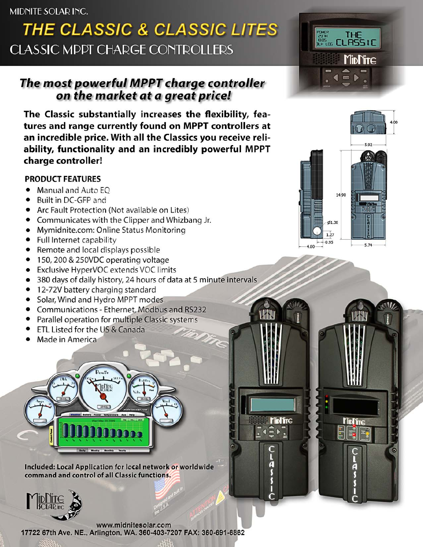## MIDNITE SOLAR INC.

# THE CLASSIC & CLASSIC LITES **CLASSIC MPPT CHARGE CONTROLLERS**

## The most powerful MPPT charge controller on the market at a great price!

The Classic substantially increases the flexibility, features and range currently found on MPPT controllers at an incredible price. With all the Classics you receive reliability, functionality and an incredibly powerful MPPT charge controller!

### **PRODUCT FEATURES**

- Manual and Auto EQ
- Built in DC-GFP and
- Arc Fault Protection (Not available on Lites)
- Communicates with the Clipper and Whizbang Jr.
- Mymidnite.com: Online Status Monitoring
- Full Internet capability
- Remote and local displays possible  $\bullet$
- 150, 200 & 250VDC operating voltage  $\bullet$
- Exclusive HyperVOC extends VOC limits
- 380 days of daily history, 24 hours of data at 5 minute intervals
- 12-72V battery charging standard
- Solar, Wind and Hydro MPPT modes
- Communications Ethernet, Modbus and RS232
- Parallel operation for multiple Classic systems
- ETL Listed for the US & Canada
- Made in America



**Included: Local Application for local network or worldwide** command and control of all Classic functions.



www.midnitesolar.com 17722 67th Ave. NE., Arlington, WA. 360-403-7207 FAX: 360-691-6862





**MipNine** 

A

**MioNire** 

 $\equiv$  0

A